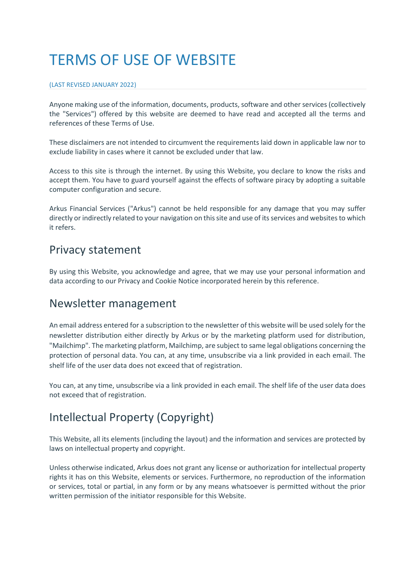# TERMS OF USE OF WEBSITE

#### (LAST REVISED JANUARY 2022)

Anyone making use of the information, documents, products, software and other services (collectively the "Services") offered by this website are deemed to have read and accepted all the terms and references of these Terms of Use.

These disclaimers are not intended to circumvent the requirements laid down in applicable law nor to exclude liability in cases where it cannot be excluded under that law.

Access to this site is through the internet. By using this Website, you declare to know the risks and accept them. You have to guard yourself against the effects of software piracy by adopting a suitable computer configuration and secure.

Arkus Financial Services ("Arkus") cannot be held responsible for any damage that you may suffer directly or indirectly related to your navigation on this site and use of its services and websites to which it refers.

### Privacy statement

By using this Website, you acknowledge and agree, that we may use your personal information and data according to our Privacy and Cookie Notice incorporated herein by this reference.

### Newsletter management

An email address entered for a subscription to the newsletter of this website will be used solely for the newsletter distribution either directly by Arkus or by the marketing platform used for distribution, "Mailchimp". The marketing platform, Mailchimp, are subject to same legal obligations concerning the protection of personal data. You can, at any time, unsubscribe via a link provided in each email. The shelf life of the user data does not exceed that of registration.

You can, at any time, unsubscribe via a link provided in each email. The shelf life of the user data does not exceed that of registration.

## Intellectual Property (Copyright)

This Website, all its elements (including the layout) and the information and services are protected by laws on intellectual property and copyright.

Unless otherwise indicated, Arkus does not grant any license or authorization for intellectual property rights it has on this Website, elements or services. Furthermore, no reproduction of the information or services, total or partial, in any form or by any means whatsoever is permitted without the prior written permission of the initiator responsible for this Website.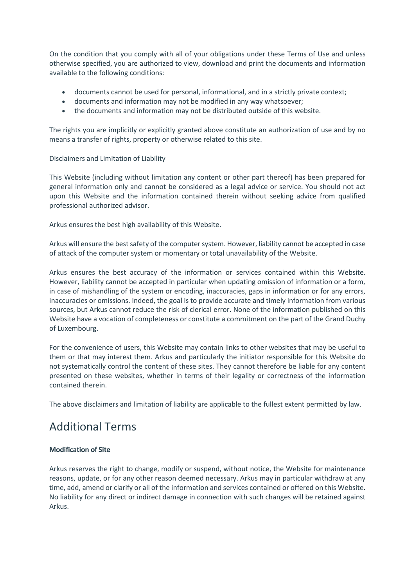On the condition that you comply with all of your obligations under these Terms of Use and unless otherwise specified, you are authorized to view, download and print the documents and information available to the following conditions:

- documents cannot be used for personal, informational, and in a strictly private context;
- documents and information may not be modified in any way whatsoever;
- the documents and information may not be distributed outside of this website.

The rights you are implicitly or explicitly granted above constitute an authorization of use and by no means a transfer of rights, property or otherwise related to this site.

Disclaimers and Limitation of Liability

This Website (including without limitation any content or other part thereof) has been prepared for general information only and cannot be considered as a legal advice or service. You should not act upon this Website and the information contained therein without seeking advice from qualified professional authorized advisor.

Arkus ensures the best high availability of this Website.

Arkus will ensure the best safety of the computer system. However, liability cannot be accepted in case of attack of the computer system or momentary or total unavailability of the Website.

Arkus ensures the best accuracy of the information or services contained within this Website. However, liability cannot be accepted in particular when updating omission of information or a form, in case of mishandling of the system or encoding, inaccuracies, gaps in information or for any errors, inaccuracies or omissions. Indeed, the goal is to provide accurate and timely information from various sources, but Arkus cannot reduce the risk of clerical error. None of the information published on this Website have a vocation of completeness or constitute a commitment on the part of the Grand Duchy of Luxembourg.

For the convenience of users, this Website may contain links to other websites that may be useful to them or that may interest them. Arkus and particularly the initiator responsible for this Website do not systematically control the content of these sites. They cannot therefore be liable for any content presented on these websites, whether in terms of their legality or correctness of the information contained therein.

The above disclaimers and limitation of liability are applicable to the fullest extent permitted by law.

# Additional Terms

#### **Modification of Site**

Arkus reserves the right to change, modify or suspend, without notice, the Website for maintenance reasons, update, or for any other reason deemed necessary. Arkus may in particular withdraw at any time, add, amend or clarify or all of the information and services contained or offered on this Website. No liability for any direct or indirect damage in connection with such changes will be retained against Arkus.